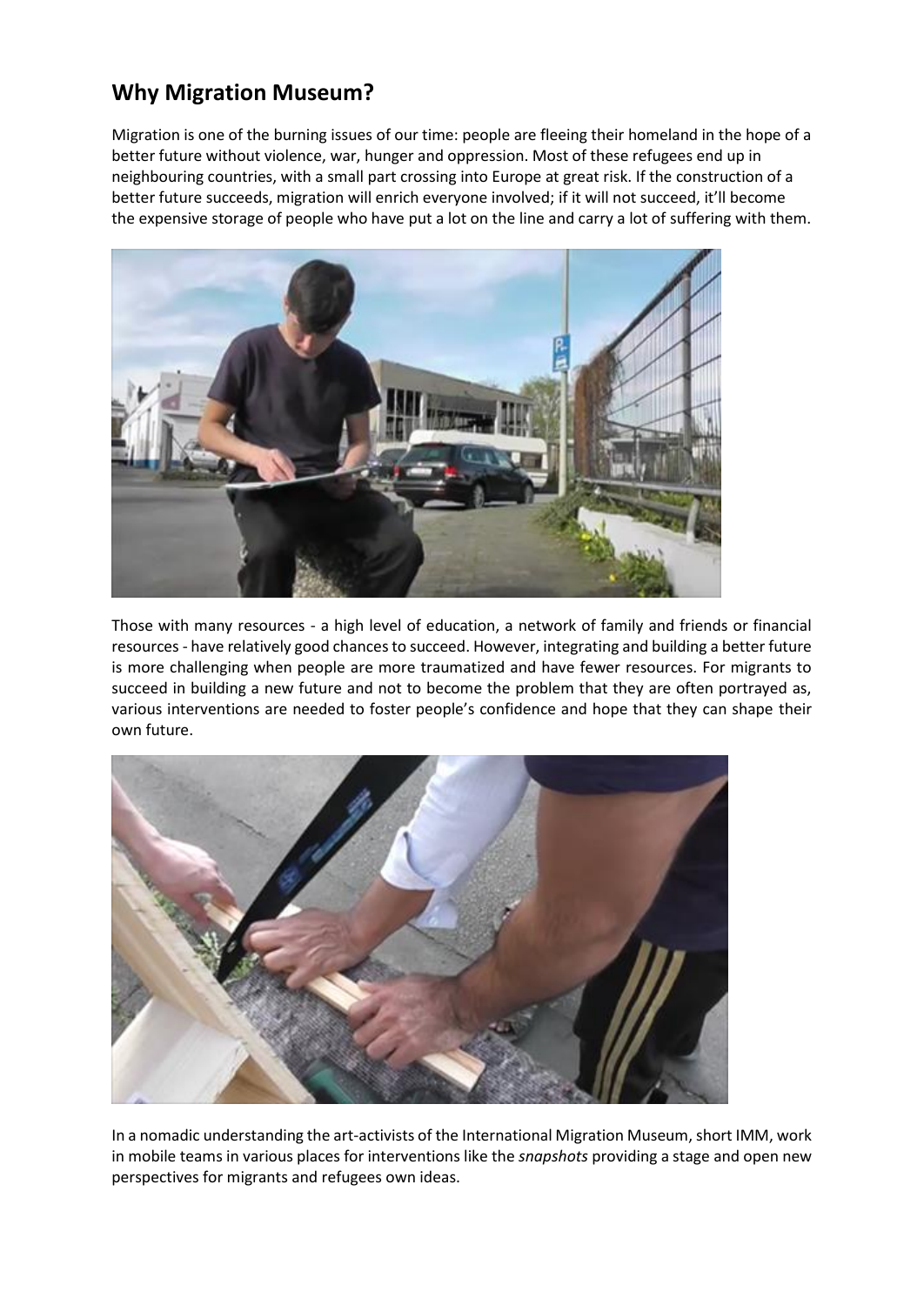## **Why Migration Museum?**

Migration is one of the burning issues of our time: people are fleeing their homeland in the hope of a better future without violence, war, hunger and oppression. Most of these refugees end up in neighbouring countries, with a small part crossing into Europe at great risk. If the construction of a better future succeeds, migration will enrich everyone involved; if it will not succeed, it'll become the expensive storage of people who have put a lot on the line and carry a lot of suffering with them.



Those with many resources - a high level of education, a network of family and friends or financial resources - have relatively good chances to succeed. However, integrating and building a better future is more challenging when people are more traumatized and have fewer resources. For migrants to succeed in building a new future and not to become the problem that they are often portrayed as, various interventions are needed to foster people's confidence and hope that they can shape their own future.



In a nomadic understanding the art-activists of the International Migration Museum, short IMM, work in mobile teams in various places for interventions like the *snapshots* providing a stage and open new perspectives for migrants and refugees own ideas.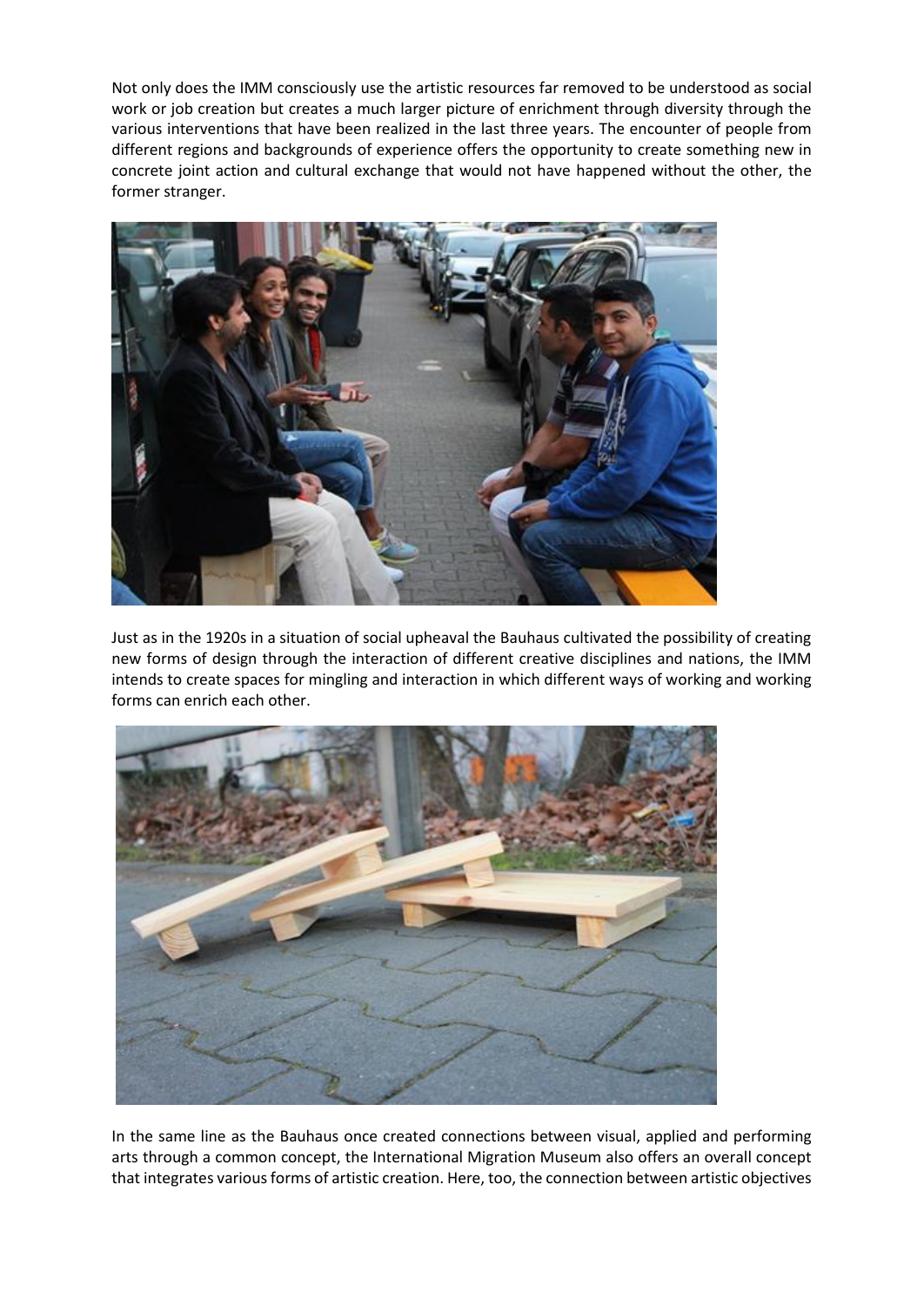Not only does the IMM consciously use the artistic resources far removed to be understood as social work or job creation but creates a much larger picture of enrichment through diversity through the various interventions that have been realized in the last three years. The encounter of people from different regions and backgrounds of experience offers the opportunity to create something new in concrete joint action and cultural exchange that would not have happened without the other, the former stranger.



Just as in the 1920s in a situation of social upheaval the Bauhaus cultivated the possibility of creating new forms of design through the interaction of different creative disciplines and nations, the IMM intends to create spaces for mingling and interaction in which different ways of working and working forms can enrich each other.



In the same line as the Bauhaus once created connections between visual, applied and performing arts through a common concept, the International Migration Museum also offers an overall concept that integrates various forms of artistic creation. Here, too, the connection between artistic objectives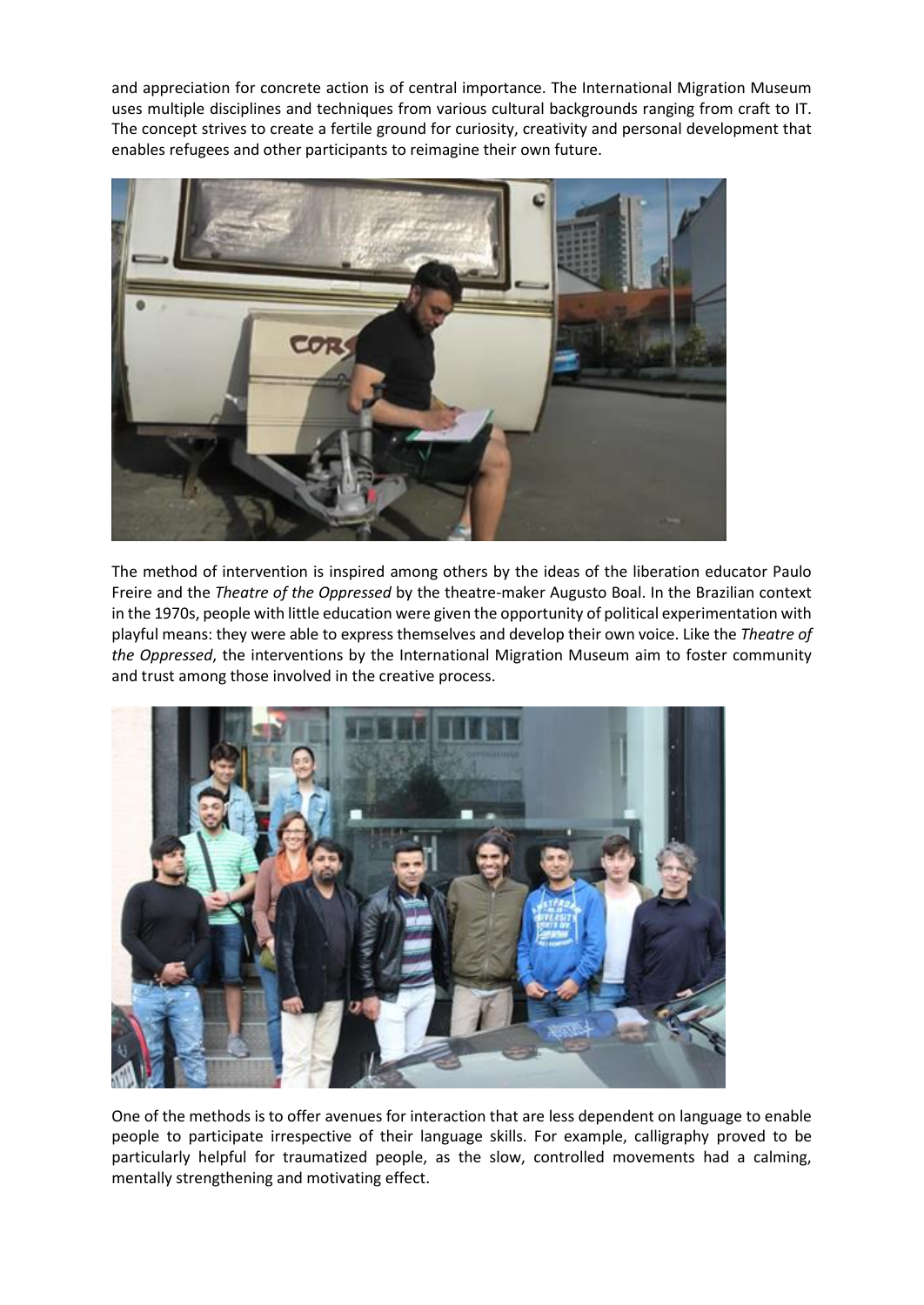and appreciation for concrete action is of central importance. The International Migration Museum uses multiple disciplines and techniques from various cultural backgrounds ranging from craft to IT. The concept strives to create a fertile ground for curiosity, creativity and personal development that enables refugees and other participants to reimagine their own future.



The method of intervention is inspired among others by the ideas of the liberation educator Paulo Freire and the *Theatre of the Oppressed* by the theatre-maker Augusto Boal. In the Brazilian context in the 1970s, people with little education were given the opportunity of political experimentation with playful means: they were able to express themselves and develop their own voice. Like the *Theatre of the Oppressed*, the interventions by the International Migration Museum aim to foster community and trust among those involved in the creative process.



One of the methods is to offer avenues for interaction that are less dependent on language to enable people to participate irrespective of their language skills. For example, calligraphy proved to be particularly helpful for traumatized people, as the slow, controlled movements had a calming, mentally strengthening and motivating effect.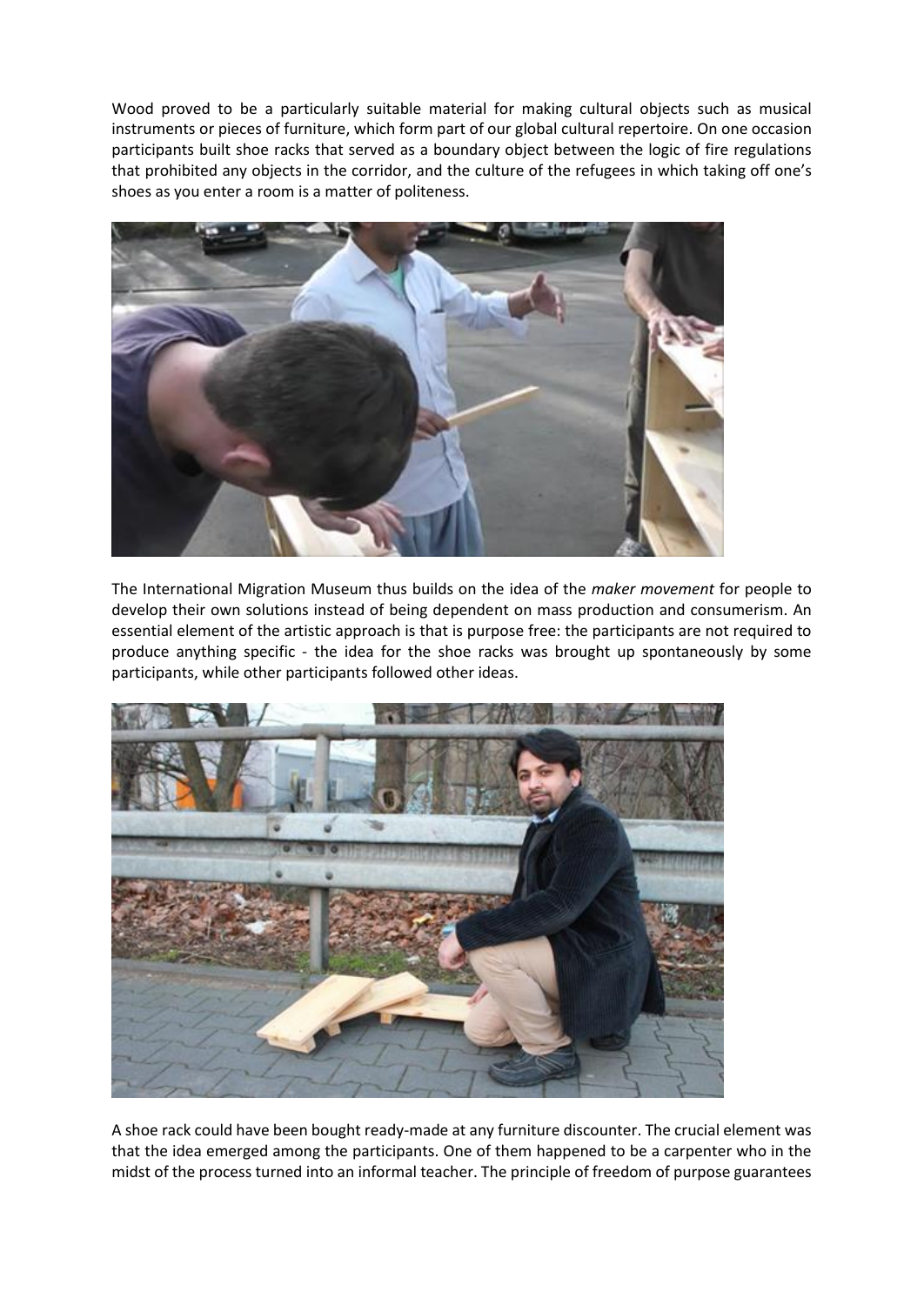Wood proved to be a particularly suitable material for making cultural objects such as musical instruments or pieces of furniture, which form part of our global cultural repertoire. On one occasion participants built shoe racks that served as a boundary object between the logic of fire regulations that prohibited any objects in the corridor, and the culture of the refugees in which taking off one's shoes as you enter a room is a matter of politeness.



The International Migration Museum thus builds on the idea of the *maker movement* for people to develop their own solutions instead of being dependent on mass production and consumerism. An essential element of the artistic approach is that is purpose free: the participants are not required to produce anything specific - the idea for the shoe racks was brought up spontaneously by some participants, while other participants followed other ideas.



A shoe rack could have been bought ready-made at any furniture discounter. The crucial element was that the idea emerged among the participants. One of them happened to be a carpenter who in the midst of the process turned into an informal teacher. The principle of freedom of purpose guarantees